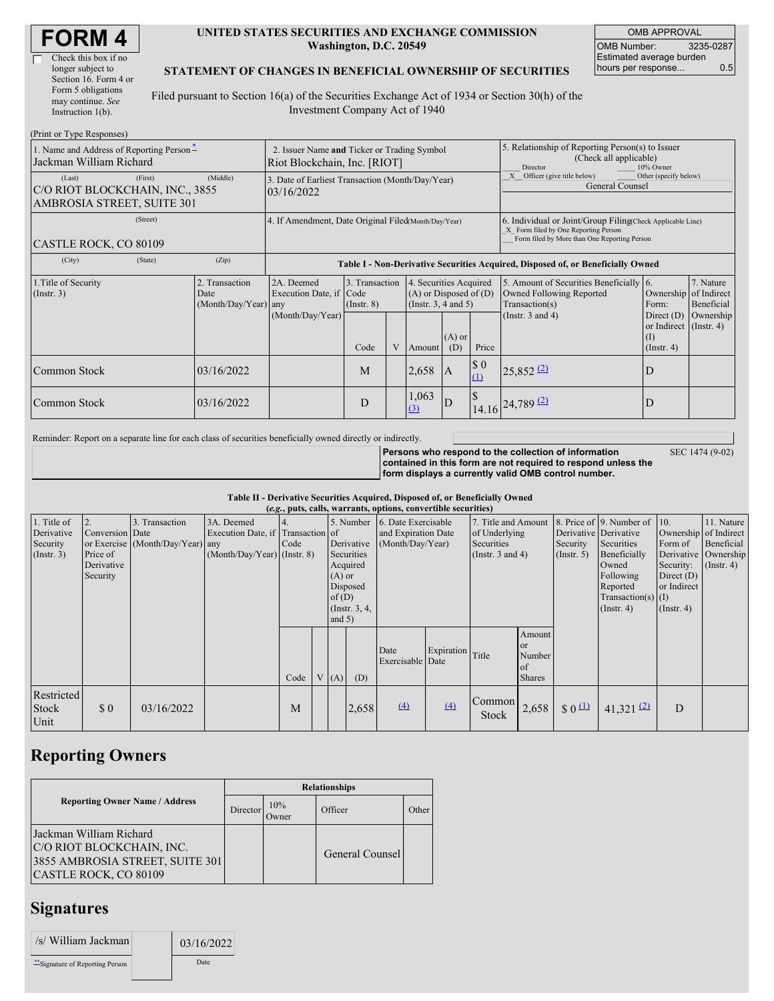| <b>FORM 4</b> |
|---------------|
|---------------|

 $\Box$ 

#### **UNITED STATES SECURITIES AND EXCHANGE COMMISSION Washington, D.C. 20549**

OMB APPROVAL OMB Number: 3235-0287 Estimated average burden hours per response... 0.5

#### **STATEMENT OF CHANGES IN BENEFICIAL OWNERSHIP OF SECURITIES**

Filed pursuant to Section 16(a) of the Securities Exchange Act of 1934 or Section 30(h) of the Investment Company Act of 1940

| (Print or Type Responses)                                               |                                                                             |                                            |                                                                                  |                                   |  |                                                                                                                                                                                                             |                                                                                                     |                                    |                                                                                                                                                    |                                                              |           |  |
|-------------------------------------------------------------------------|-----------------------------------------------------------------------------|--------------------------------------------|----------------------------------------------------------------------------------|-----------------------------------|--|-------------------------------------------------------------------------------------------------------------------------------------------------------------------------------------------------------------|-----------------------------------------------------------------------------------------------------|------------------------------------|----------------------------------------------------------------------------------------------------------------------------------------------------|--------------------------------------------------------------|-----------|--|
| 1. Name and Address of Reporting Person-<br>Jackman William Richard     | 2. Issuer Name and Ticker or Trading Symbol<br>Riot Blockchain, Inc. [RIOT] |                                            |                                                                                  |                                   |  |                                                                                                                                                                                                             | 5. Relationship of Reporting Person(s) to Issuer<br>(Check all applicable)<br>10% Owner<br>Director |                                    |                                                                                                                                                    |                                                              |           |  |
| (Last)<br>C/O RIOT BLOCKCHAIN, INC., 3855<br>AMBROSIA STREET, SUITE 301 | (First)                                                                     | (Middle)                                   | 3. Date of Earliest Transaction (Month/Day/Year)<br>03/16/2022                   |                                   |  |                                                                                                                                                                                                             | Other (specify below)<br>X Officer (give title below)<br>General Counsel                            |                                    |                                                                                                                                                    |                                                              |           |  |
| (Street)<br>CASTLE ROCK, CO 80109                                       |                                                                             |                                            | 4. If Amendment, Date Original Filed(Month/Day/Year)                             |                                   |  |                                                                                                                                                                                                             |                                                                                                     |                                    | 6. Individual or Joint/Group Filing Check Applicable Line)<br>X Form filed by One Reporting Person<br>Form filed by More than One Reporting Person |                                                              |           |  |
| (City)                                                                  | (State)                                                                     | (Zip)                                      | Table I - Non-Derivative Securities Acquired, Disposed of, or Beneficially Owned |                                   |  |                                                                                                                                                                                                             |                                                                                                     |                                    |                                                                                                                                                    |                                                              |           |  |
| 1. Title of Security<br>$($ Instr. 3 $)$                                |                                                                             | 2. Transaction<br>Date<br>(Month/Day/Year) | 2A. Deemed<br>Execution Date, if Code<br>any                                     | 3. Transaction<br>$($ Instr. $8)$ |  | 5. Amount of Securities Beneficially 6.<br>4. Securities Acquired<br>Ownership of Indirect<br>$(A)$ or Disposed of $(D)$<br>Owned Following Reported<br>(Instr. $3, 4$ and $5$ )<br>Transaction(s)<br>Form: |                                                                                                     | 7. Nature<br>Beneficial            |                                                                                                                                                    |                                                              |           |  |
|                                                                         |                                                                             |                                            | (Month/Day/Year)                                                                 | Code                              |  | Amount                                                                                                                                                                                                      | $(A)$ or<br>(D)                                                                                     | Price                              | (Instr. 3 and 4)                                                                                                                                   | Direct $(D)$<br>or Indirect (Instr. 4)<br>(I)<br>(Insert. 4) | Ownership |  |
| Common Stock                                                            |                                                                             | 03/16/2022                                 |                                                                                  | M                                 |  | 2,658                                                                                                                                                                                                       | <b>IA</b>                                                                                           | $\boldsymbol{\mathsf{S}}$ 0<br>(1) | $25,852$ <sup>(2)</sup>                                                                                                                            | D                                                            |           |  |
| Common Stock                                                            |                                                                             | 03/16/2022                                 |                                                                                  | D                                 |  | 1,063<br>(3)                                                                                                                                                                                                | ID <sup>1</sup>                                                                                     |                                    | $14.16$ $24,789$ $(2)$                                                                                                                             | D                                                            |           |  |

Reminder: Report on a separate line for each class of securities beneficially owned directly or indirectly.

**Persons who respond to the collection of information contained in this form are not required to respond unless the form displays a currently valid OMB control number.** SEC 1474 (9-02)

**Table II - Derivative Securities Acquired, Disposed of, or Beneficially Owned**

| (e.g., puts, calls, warrants, options, convertible securities) |                                                             |                                                    |                                                                                  |             |  |                                  |                                                                     |                                                                          |            |                                                                             |                                                                 |                                                  |                                                                                                                                          |                                                                                       |                                                                                 |
|----------------------------------------------------------------|-------------------------------------------------------------|----------------------------------------------------|----------------------------------------------------------------------------------|-------------|--|----------------------------------|---------------------------------------------------------------------|--------------------------------------------------------------------------|------------|-----------------------------------------------------------------------------|-----------------------------------------------------------------|--------------------------------------------------|------------------------------------------------------------------------------------------------------------------------------------------|---------------------------------------------------------------------------------------|---------------------------------------------------------------------------------|
| 1. Title of<br>Derivative<br>Security<br>$($ Instr. 3 $)$      | 2.<br>Conversion Date<br>Price of<br>Derivative<br>Security | 3. Transaction<br>or Exercise (Month/Day/Year) any | 3A. Deemed<br>Execution Date, if Transaction of<br>$(Month/Day/Year)$ (Instr. 8) | 14.<br>Code |  | $(A)$ or<br>of $(D)$<br>and $5)$ | Derivative<br>Securities<br>Acquired<br>Disposed<br>(Instr. $3, 4,$ | 5. Number 6. Date Exercisable<br>and Expiration Date<br>(Month/Day/Year) |            | 7. Title and Amount<br>of Underlying<br>Securities<br>(Instr. $3$ and $4$ ) |                                                                 | Derivative Derivative<br>Security<br>(Insert. 5) | 8. Price of 9. Number of 10.<br>Securities<br>Beneficially<br>Owned<br>Following<br>Reported<br>$Transaction(s)$ (I)<br>$($ Instr. 4 $)$ | Form of<br>Derivative<br>Security:<br>Direct $(D)$<br>or Indirect<br>$($ Instr. 4 $)$ | 11. Nature<br>Ownership of Indirect<br>Beneficial<br>Ownership<br>$($ Instr. 4) |
|                                                                |                                                             |                                                    |                                                                                  | Code        |  | V(A)                             | (D)                                                                 | Date<br>Exercisable Date                                                 | Expiration | Title                                                                       | Amount<br><b>or</b><br>Number<br><sub>of</sub><br><b>Shares</b> |                                                  |                                                                                                                                          |                                                                                       |                                                                                 |
| Restricted<br>Stock<br>Unit                                    | \$0                                                         | 03/16/2022                                         |                                                                                  | M           |  |                                  | 2,658                                                               | $\left(4\right)$                                                         | (4)        | Common<br>Stock                                                             | 2,658                                                           | $\frac{1}{2}0$                                   | 41,321 $(2)$                                                                                                                             | D                                                                                     |                                                                                 |

## **Reporting Owners**

|                                                                                                                  | <b>Relationships</b> |                      |                 |       |  |  |  |  |
|------------------------------------------------------------------------------------------------------------------|----------------------|----------------------|-----------------|-------|--|--|--|--|
| <b>Reporting Owner Name / Address</b>                                                                            | <b>Director</b>      | 10%<br><b>J</b> wner | Officer         | Other |  |  |  |  |
| Jackman William Richard<br>C/O RIOT BLOCKCHAIN, INC.<br>3855 AMBROSIA STREET, SUITE 301<br>CASTLE ROCK, CO 80109 |                      |                      | General Counsel |       |  |  |  |  |

# **Signatures**

| /s/ William Jackman              | 03/16/2022 |
|----------------------------------|------------|
| ** Signature of Reporting Person | Date       |